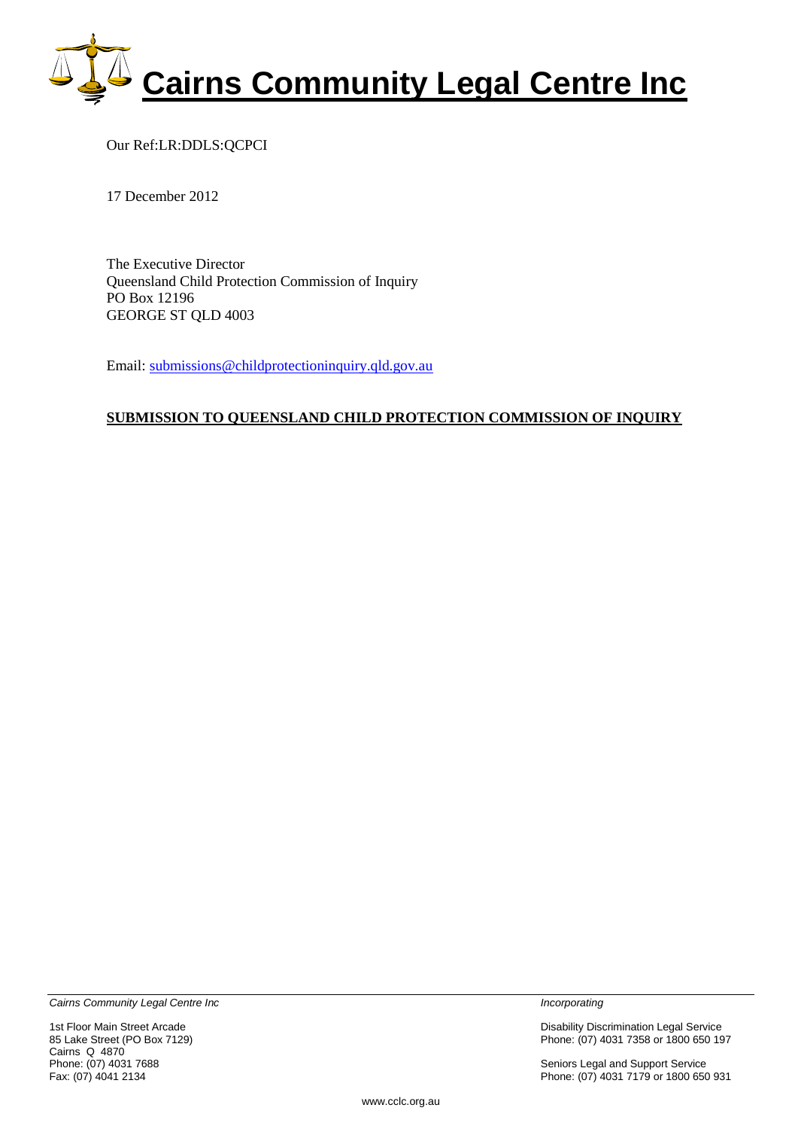

Our Ref:LR:DDLS:QCPCI

17 December 2012

The Executive Director Queensland Child Protection Commission of Inquiry PO Box 12196 GEORGE ST QLD 4003

Email: [submissions@childprotectioninquiry.qld.gov.au](mailto:submissions@childprotectioninquiry.qld.gov.au)

#### **SUBMISSION TO QUEENSLAND CHILD PROTECTION COMMISSION OF INQUIRY**

*Cairns Community Legal Centre Inc Incorporating* 

Cairns Q 4870<br>Phone: (07) 4031 7688

1st Floor Main Street Arcade **Disability Disability Discrimination Legal Service**<br>
25 Disability Discrimination Legal Service<br>
26 Disability Discrimination Legal Service<br>
26 Disability Discrimination Legal Service Phone: (07) 4031 7358 or 1800 650 197

Phone: (07) 4031 7688 **Phone: (07) 4031 7688** Seniors Legal and Support Service<br>Fax: (07) 4041 2134 **Seniors Legal and Support Service**<br>Phone: (07) 4031 7179 or 1800 650 Phone: (07) 4031 7179 or 1800 650 931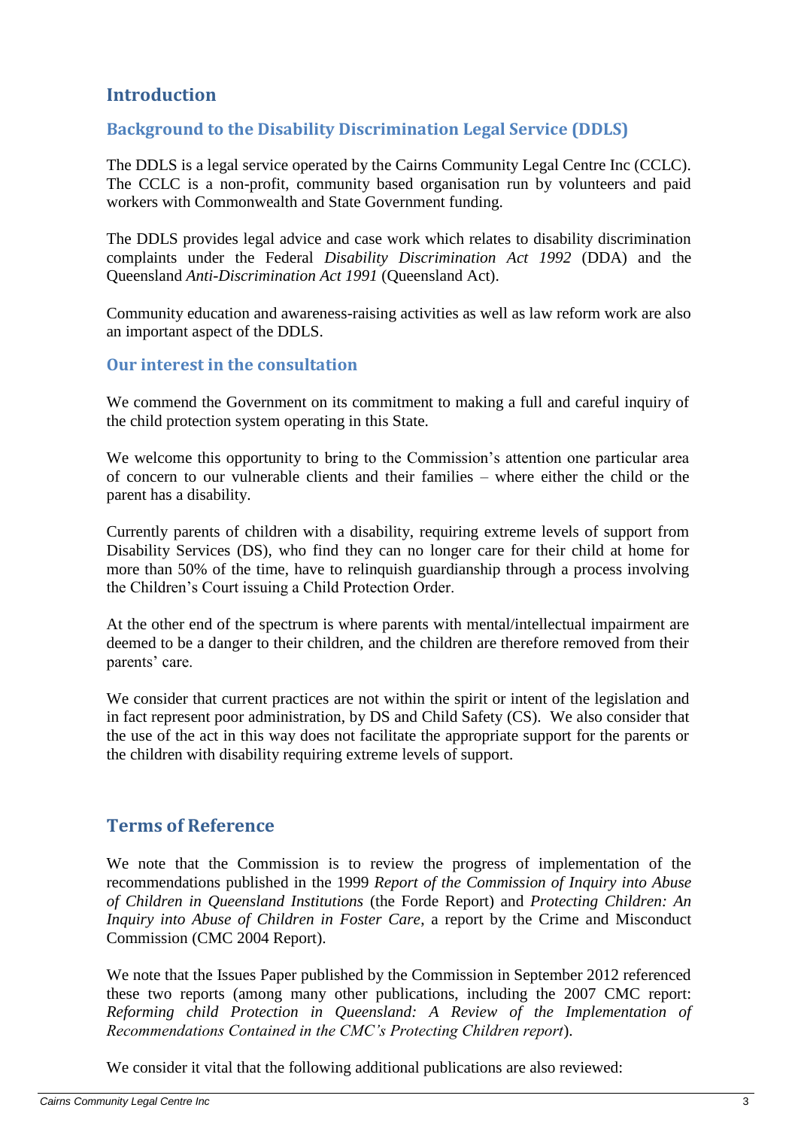# <span id="page-2-0"></span>**Introduction**

## <span id="page-2-1"></span>**Background to the Disability Discrimination Legal Service (DDLS)**

The DDLS is a legal service operated by the Cairns Community Legal Centre Inc (CCLC). The CCLC is a non-profit, community based organisation run by volunteers and paid workers with Commonwealth and State Government funding.

The DDLS provides legal advice and case work which relates to disability discrimination complaints under the Federal *Disability Discrimination Act 1992* (DDA) and the Queensland *Anti-Discrimination Act 1991* (Queensland Act).

Community education and awareness-raising activities as well as law reform work are also an important aspect of the DDLS.

### <span id="page-2-2"></span>**Our interest in the consultation**

We commend the Government on its commitment to making a full and careful inquiry of the child protection system operating in this State.

We welcome this opportunity to bring to the Commission's attention one particular area of concern to our vulnerable clients and their families – where either the child or the parent has a disability.

Currently parents of children with a disability, requiring extreme levels of support from Disability Services (DS), who find they can no longer care for their child at home for more than 50% of the time, have to relinquish guardianship through a process involving the Children's Court issuing a Child Protection Order.

At the other end of the spectrum is where parents with mental/intellectual impairment are deemed to be a danger to their children, and the children are therefore removed from their parents' care.

We consider that current practices are not within the spirit or intent of the legislation and in fact represent poor administration, by DS and Child Safety (CS). We also consider that the use of the act in this way does not facilitate the appropriate support for the parents or the children with disability requiring extreme levels of support.

## <span id="page-2-3"></span>**Terms of Reference**

We note that the Commission is to review the progress of implementation of the recommendations published in the 1999 *Report of the Commission of Inquiry into Abuse of Children in Queensland Institutions* (the Forde Report) and *Protecting Children: An Inquiry into Abuse of Children in Foster Care*, a report by the Crime and Misconduct Commission (CMC 2004 Report).

We note that the Issues Paper published by the Commission in September 2012 referenced these two reports (among many other publications, including the 2007 CMC report: *Reforming child Protection in Queensland: A Review of the Implementation of Recommendations Contained in the CMC's Protecting Children report*).

We consider it vital that the following additional publications are also reviewed: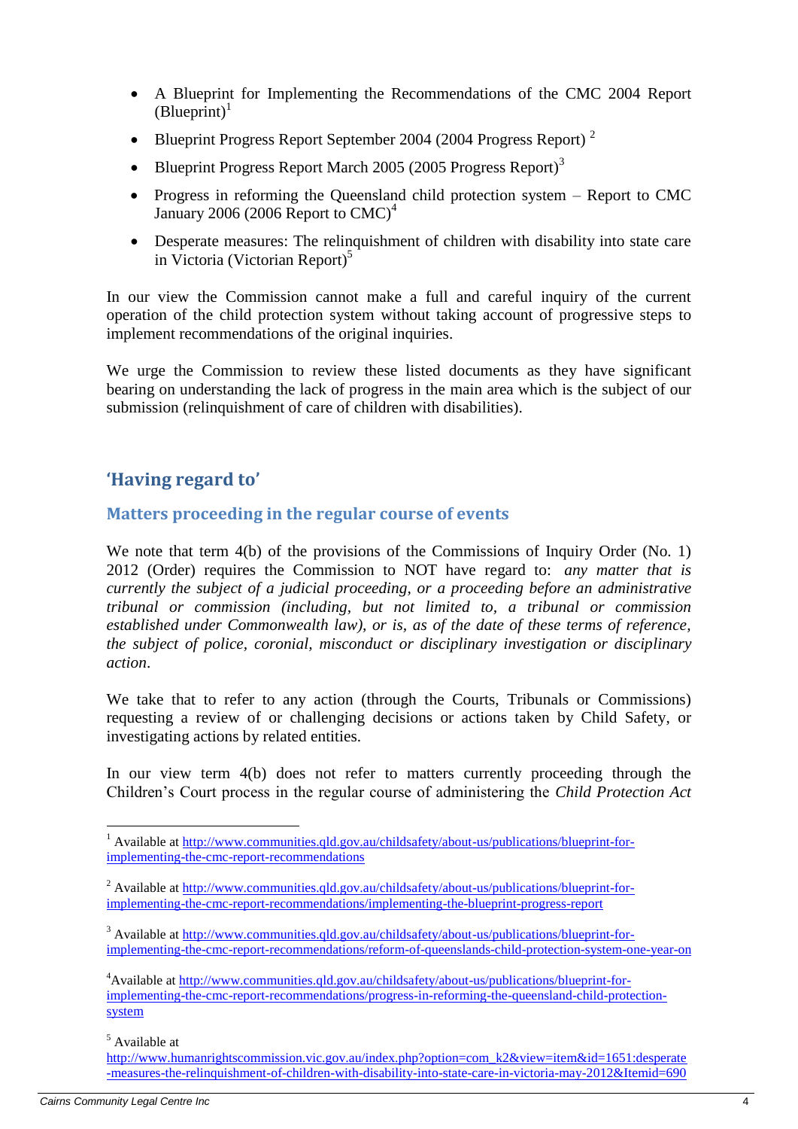- A Blueprint for Implementing the Recommendations of the CMC 2004 Report  $(B$ lueprint $)^1$
- Blueprint Progress Report September 2004 (2004 Progress Report)<sup>2</sup>
- Blueprint Progress Report March 2005 (2005 Progress Report)<sup>3</sup>
- Progress in reforming the Queensland child protection system Report to CMC January 2006 (2006 Report to  $CMC<sup>4</sup>$
- Desperate measures: The relinquishment of children with disability into state care in Victoria (Victorian Report)<sup>5</sup>

In our view the Commission cannot make a full and careful inquiry of the current operation of the child protection system without taking account of progressive steps to implement recommendations of the original inquiries.

We urge the Commission to review these listed documents as they have significant bearing on understanding the lack of progress in the main area which is the subject of our submission (relinquishment of care of children with disabilities).

# <span id="page-3-0"></span>**'Having regard to'**

## <span id="page-3-1"></span>**Matters proceeding in the regular course of events**

We note that term 4(b) of the provisions of the Commissions of Inquiry Order (No. 1) 2012 (Order) requires the Commission to NOT have regard to: *any matter that is currently the subject of a judicial proceeding, or a proceeding before an administrative tribunal or commission (including, but not limited to, a tribunal or commission established under Commonwealth law), or is, as of the date of these terms of reference, the subject of police, coronial, misconduct or disciplinary investigation or disciplinary action*.

We take that to refer to any action (through the Courts, Tribunals or Commissions) requesting a review of or challenging decisions or actions taken by Child Safety, or investigating actions by related entities.

In our view term 4(b) does not refer to matters currently proceeding through the Children's Court process in the regular course of administering the *Child Protection Act* 

<sup>5</sup> Available at

<sup>&</sup>lt;sup>1</sup> Available at [http://www.communities.qld.gov.au/childsafety/about-us/publications/blueprint-for](http://www.communities.qld.gov.au/childsafety/about-us/publications/blueprint-for-implementing-the-cmc-report-recommendations)[implementing-the-cmc-report-recommendations](http://www.communities.qld.gov.au/childsafety/about-us/publications/blueprint-for-implementing-the-cmc-report-recommendations)

<sup>&</sup>lt;sup>2</sup> Available at [http://www.communities.qld.gov.au/childsafety/about-us/publications/blueprint-for](http://www.communities.qld.gov.au/childsafety/about-us/publications/blueprint-for-implementing-the-cmc-report-recommendations/implementing-the-blueprint-progress-report)[implementing-the-cmc-report-recommendations/implementing-the-blueprint-progress-report](http://www.communities.qld.gov.au/childsafety/about-us/publications/blueprint-for-implementing-the-cmc-report-recommendations/implementing-the-blueprint-progress-report)

<sup>&</sup>lt;sup>3</sup> Available at [http://www.communities.qld.gov.au/childsafety/about-us/publications/blueprint-for](http://www.communities.qld.gov.au/childsafety/about-us/publications/blueprint-for-implementing-the-cmc-report-recommendations/reform-of-queenslands-child-protection-system-one-year-on)[implementing-the-cmc-report-recommendations/reform-of-queenslands-child-protection-system-one-year-on](http://www.communities.qld.gov.au/childsafety/about-us/publications/blueprint-for-implementing-the-cmc-report-recommendations/reform-of-queenslands-child-protection-system-one-year-on)

<sup>&</sup>lt;sup>4</sup>Available a[t http://www.communities.qld.gov.au/childsafety/about-us/publications/blueprint-for](http://www.communities.qld.gov.au/childsafety/about-us/publications/blueprint-for-implementing-the-cmc-report-recommendations/progress-in-reforming-the-queensland-child-protection-system)[implementing-the-cmc-report-recommendations/progress-in-reforming-the-queensland-child-protection](http://www.communities.qld.gov.au/childsafety/about-us/publications/blueprint-for-implementing-the-cmc-report-recommendations/progress-in-reforming-the-queensland-child-protection-system)[system](http://www.communities.qld.gov.au/childsafety/about-us/publications/blueprint-for-implementing-the-cmc-report-recommendations/progress-in-reforming-the-queensland-child-protection-system)

[http://www.humanrightscommission.vic.gov.au/index.php?option=com\\_k2&view=item&id=1651:desperate](http://www.humanrightscommission.vic.gov.au/index.php?option=com_k2&view=item&id=1651:desperate-measures-the-relinquishment-of-children-with-disability-into-state-care-in-victoria-may-2012&Itemid=690) [-measures-the-relinquishment-of-children-with-disability-into-state-care-in-victoria-may-2012&Itemid=690](http://www.humanrightscommission.vic.gov.au/index.php?option=com_k2&view=item&id=1651:desperate-measures-the-relinquishment-of-children-with-disability-into-state-care-in-victoria-may-2012&Itemid=690)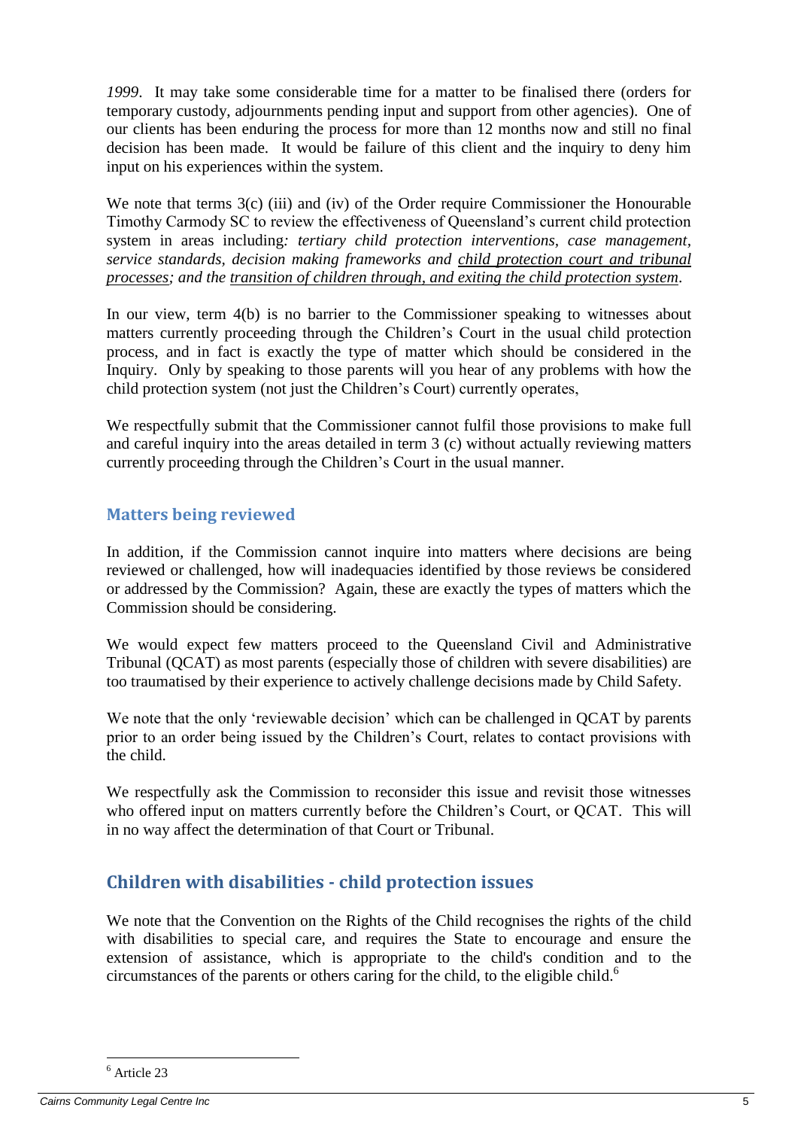*1999*. It may take some considerable time for a matter to be finalised there (orders for temporary custody, adjournments pending input and support from other agencies). One of our clients has been enduring the process for more than 12 months now and still no final decision has been made. It would be failure of this client and the inquiry to deny him input on his experiences within the system.

We note that terms 3(c) (iii) and (iv) of the Order require Commissioner the Honourable Timothy Carmody SC to review the effectiveness of Queensland's current child protection system in areas including*: tertiary child protection interventions, case management, service standards, decision making frameworks and child protection court and tribunal processes; and the transition of children through, and exiting the child protection system*.

In our view, term 4(b) is no barrier to the Commissioner speaking to witnesses about matters currently proceeding through the Children's Court in the usual child protection process, and in fact is exactly the type of matter which should be considered in the Inquiry. Only by speaking to those parents will you hear of any problems with how the child protection system (not just the Children's Court) currently operates,

We respectfully submit that the Commissioner cannot fulfil those provisions to make full and careful inquiry into the areas detailed in term 3 (c) without actually reviewing matters currently proceeding through the Children's Court in the usual manner.

# <span id="page-4-0"></span>**Matters being reviewed**

In addition, if the Commission cannot inquire into matters where decisions are being reviewed or challenged, how will inadequacies identified by those reviews be considered or addressed by the Commission? Again, these are exactly the types of matters which the Commission should be considering.

We would expect few matters proceed to the Queensland Civil and Administrative Tribunal (QCAT) as most parents (especially those of children with severe disabilities) are too traumatised by their experience to actively challenge decisions made by Child Safety.

We note that the only 'reviewable decision' which can be challenged in QCAT by parents prior to an order being issued by the Children's Court, relates to contact provisions with the child.

We respectfully ask the Commission to reconsider this issue and revisit those witnesses who offered input on matters currently before the Children's Court, or QCAT. This will in no way affect the determination of that Court or Tribunal.

# <span id="page-4-1"></span>**Children with disabilities - child protection issues**

We note that the Convention on the Rights of the Child recognises the rights of the child with disabilities to special care, and requires the State to encourage and ensure the extension of assistance, which is appropriate to the child's condition and to the circumstances of the parents or others caring for the child, to the eligible child.<sup>6</sup>

<sup>6</sup> Article 23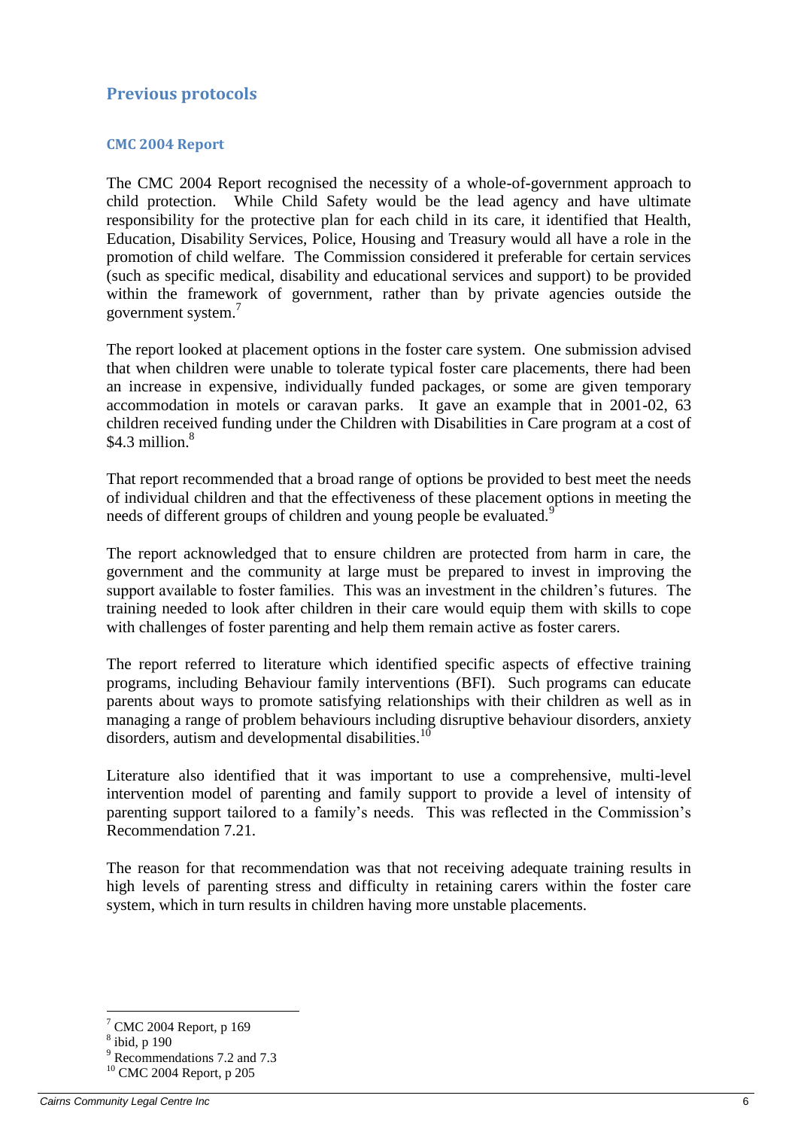## <span id="page-5-0"></span>**Previous protocols**

#### <span id="page-5-1"></span>**CMC 2004 Report**

The CMC 2004 Report recognised the necessity of a whole-of-government approach to child protection. While Child Safety would be the lead agency and have ultimate responsibility for the protective plan for each child in its care, it identified that Health, Education, Disability Services, Police, Housing and Treasury would all have a role in the promotion of child welfare. The Commission considered it preferable for certain services (such as specific medical, disability and educational services and support) to be provided within the framework of government, rather than by private agencies outside the government system.<sup>7</sup>

The report looked at placement options in the foster care system. One submission advised that when children were unable to tolerate typical foster care placements, there had been an increase in expensive, individually funded packages, or some are given temporary accommodation in motels or caravan parks. It gave an example that in 2001-02, 63 children received funding under the Children with Disabilities in Care program at a cost of \$4.3 million. $8$ 

That report recommended that a broad range of options be provided to best meet the needs of individual children and that the effectiveness of these placement options in meeting the needs of different groups of children and young people be evaluated.<sup>9</sup>

The report acknowledged that to ensure children are protected from harm in care, the government and the community at large must be prepared to invest in improving the support available to foster families. This was an investment in the children's futures. The training needed to look after children in their care would equip them with skills to cope with challenges of foster parenting and help them remain active as foster carers.

The report referred to literature which identified specific aspects of effective training programs, including Behaviour family interventions (BFI). Such programs can educate parents about ways to promote satisfying relationships with their children as well as in managing a range of problem behaviours including disruptive behaviour disorders, anxiety disorders, autism and developmental disabilities.<sup>10</sup>

Literature also identified that it was important to use a comprehensive, multi-level intervention model of parenting and family support to provide a level of intensity of parenting support tailored to a family's needs. This was reflected in the Commission's Recommendation 7.21.

The reason for that recommendation was that not receiving adequate training results in high levels of parenting stress and difficulty in retaining carers within the foster care system, which in turn results in children having more unstable placements.

 $7$  CMC 2004 Report, p 169

<sup>8</sup> ibid, p 190

<sup>&</sup>lt;sup>9</sup> Recommendations 7.2 and 7.3

<sup>10</sup> CMC 2004 Report, p 205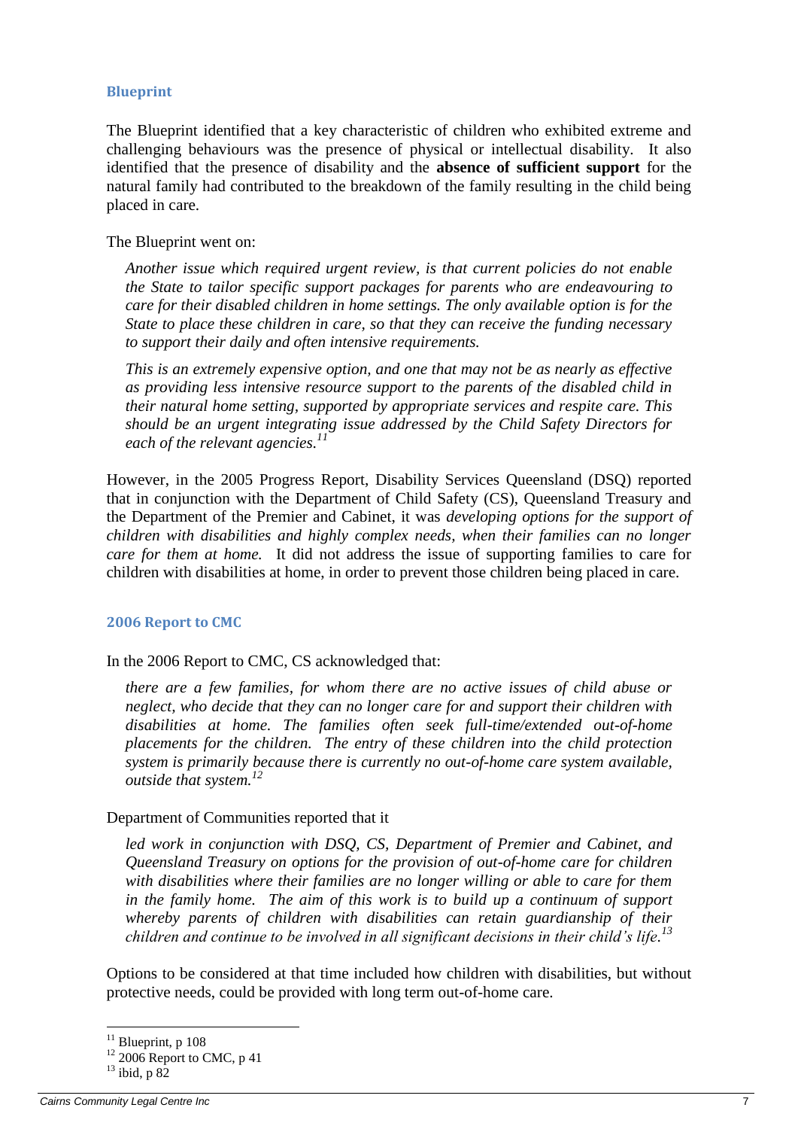#### <span id="page-6-0"></span>**Blueprint**

The Blueprint identified that a key characteristic of children who exhibited extreme and challenging behaviours was the presence of physical or intellectual disability. It also identified that the presence of disability and the **absence of sufficient support** for the natural family had contributed to the breakdown of the family resulting in the child being placed in care.

The Blueprint went on:

*Another issue which required urgent review, is that current policies do not enable the State to tailor specific support packages for parents who are endeavouring to care for their disabled children in home settings. The only available option is for the State to place these children in care, so that they can receive the funding necessary to support their daily and often intensive requirements.*

*This is an extremely expensive option, and one that may not be as nearly as effective as providing less intensive resource support to the parents of the disabled child in their natural home setting, supported by appropriate services and respite care. This should be an urgent integrating issue addressed by the Child Safety Directors for each of the relevant agencies.<sup>11</sup>*

However, in the 2005 Progress Report, Disability Services Queensland (DSQ) reported that in conjunction with the Department of Child Safety (CS), Queensland Treasury and the Department of the Premier and Cabinet, it was *developing options for the support of children with disabilities and highly complex needs, when their families can no longer care for them at home.* It did not address the issue of supporting families to care for children with disabilities at home, in order to prevent those children being placed in care.

#### <span id="page-6-1"></span>**2006 Report to CMC**

In the 2006 Report to CMC, CS acknowledged that:

*there are a few families, for whom there are no active issues of child abuse or neglect, who decide that they can no longer care for and support their children with disabilities at home. The families often seek full-time/extended out-of-home placements for the children. The entry of these children into the child protection system is primarily because there is currently no out-of-home care system available, outside that system. 12*

#### Department of Communities reported that it

*led work in conjunction with DSQ, CS, Department of Premier and Cabinet, and Queensland Treasury on options for the provision of out-of-home care for children with disabilities where their families are no longer willing or able to care for them*  in the family home. The aim of this work is to build up a continuum of support *whereby parents of children with disabilities can retain guardianship of their children and continue to be involved in all significant decisions in their child's life. 13*

Options to be considered at that time included how children with disabilities, but without protective needs, could be provided with long term out-of-home care.

 $11$  Blueprint, p 108

 $12$  2006 Report to CMC, p 41

 $13$  ibid, p 82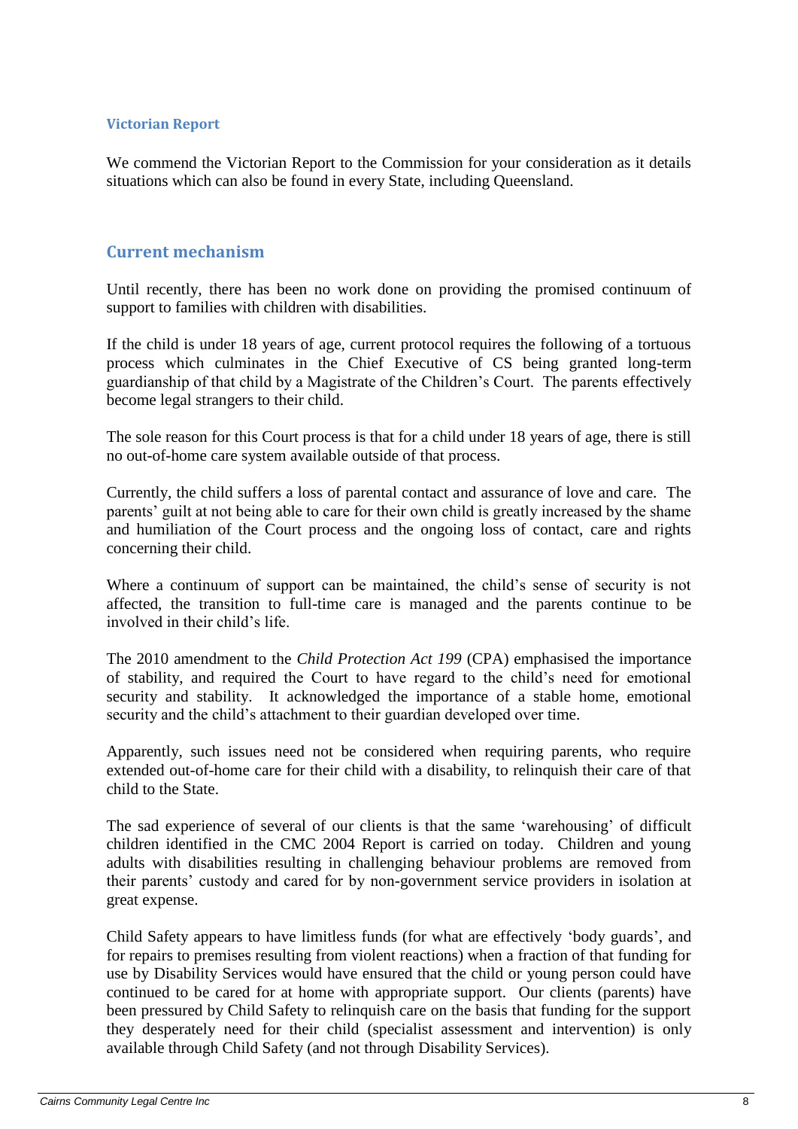#### <span id="page-7-0"></span>**Victorian Report**

We commend the Victorian Report to the Commission for your consideration as it details situations which can also be found in every State, including Queensland.

### <span id="page-7-1"></span>**Current mechanism**

Until recently, there has been no work done on providing the promised continuum of support to families with children with disabilities.

If the child is under 18 years of age, current protocol requires the following of a tortuous process which culminates in the Chief Executive of CS being granted long-term guardianship of that child by a Magistrate of the Children's Court. The parents effectively become legal strangers to their child.

The sole reason for this Court process is that for a child under 18 years of age, there is still no out-of-home care system available outside of that process.

Currently, the child suffers a loss of parental contact and assurance of love and care. The parents' guilt at not being able to care for their own child is greatly increased by the shame and humiliation of the Court process and the ongoing loss of contact, care and rights concerning their child.

Where a continuum of support can be maintained, the child's sense of security is not affected, the transition to full-time care is managed and the parents continue to be involved in their child's life.

The 2010 amendment to the *Child Protection Act 199* (CPA) emphasised the importance of stability, and required the Court to have regard to the child's need for emotional security and stability. It acknowledged the importance of a stable home, emotional security and the child's attachment to their guardian developed over time.

Apparently, such issues need not be considered when requiring parents, who require extended out-of-home care for their child with a disability, to relinquish their care of that child to the State.

The sad experience of several of our clients is that the same 'warehousing' of difficult children identified in the CMC 2004 Report is carried on today. Children and young adults with disabilities resulting in challenging behaviour problems are removed from their parents' custody and cared for by non-government service providers in isolation at great expense.

Child Safety appears to have limitless funds (for what are effectively 'body guards', and for repairs to premises resulting from violent reactions) when a fraction of that funding for use by Disability Services would have ensured that the child or young person could have continued to be cared for at home with appropriate support. Our clients (parents) have been pressured by Child Safety to relinquish care on the basis that funding for the support they desperately need for their child (specialist assessment and intervention) is only available through Child Safety (and not through Disability Services).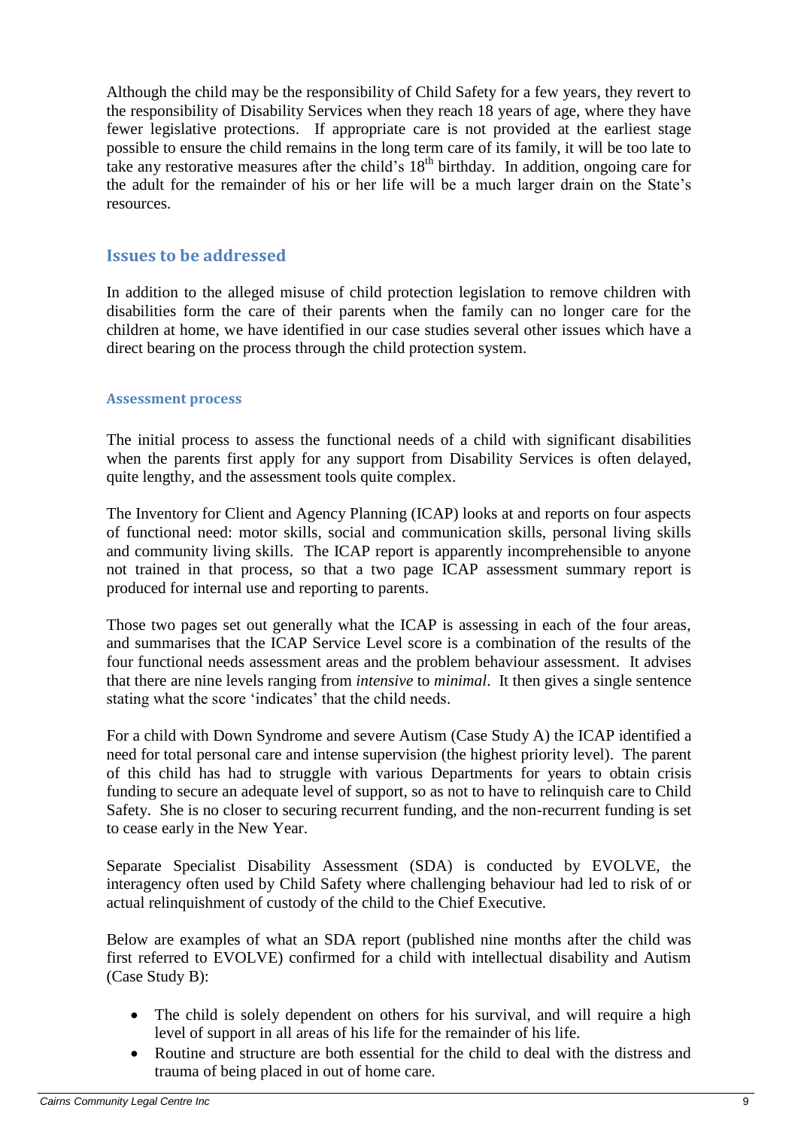Although the child may be the responsibility of Child Safety for a few years, they revert to the responsibility of Disability Services when they reach 18 years of age, where they have fewer legislative protections. If appropriate care is not provided at the earliest stage possible to ensure the child remains in the long term care of its family, it will be too late to take any restorative measures after the child's 18<sup>th</sup> birthday. In addition, ongoing care for the adult for the remainder of his or her life will be a much larger drain on the State's resources.

### <span id="page-8-0"></span>**Issues to be addressed**

In addition to the alleged misuse of child protection legislation to remove children with disabilities form the care of their parents when the family can no longer care for the children at home, we have identified in our case studies several other issues which have a direct bearing on the process through the child protection system.

#### <span id="page-8-1"></span>**Assessment process**

The initial process to assess the functional needs of a child with significant disabilities when the parents first apply for any support from Disability Services is often delayed, quite lengthy, and the assessment tools quite complex.

The Inventory for Client and Agency Planning (ICAP) looks at and reports on four aspects of functional need: motor skills, social and communication skills, personal living skills and community living skills. The ICAP report is apparently incomprehensible to anyone not trained in that process, so that a two page ICAP assessment summary report is produced for internal use and reporting to parents.

Those two pages set out generally what the ICAP is assessing in each of the four areas, and summarises that the ICAP Service Level score is a combination of the results of the four functional needs assessment areas and the problem behaviour assessment. It advises that there are nine levels ranging from *intensive* to *minimal*. It then gives a single sentence stating what the score 'indicates' that the child needs.

For a child with Down Syndrome and severe Autism (Case Study A) the ICAP identified a need for total personal care and intense supervision (the highest priority level). The parent of this child has had to struggle with various Departments for years to obtain crisis funding to secure an adequate level of support, so as not to have to relinquish care to Child Safety. She is no closer to securing recurrent funding, and the non-recurrent funding is set to cease early in the New Year.

Separate Specialist Disability Assessment (SDA) is conducted by EVOLVE, the interagency often used by Child Safety where challenging behaviour had led to risk of or actual relinquishment of custody of the child to the Chief Executive.

Below are examples of what an SDA report (published nine months after the child was first referred to EVOLVE) confirmed for a child with intellectual disability and Autism (Case Study B):

- The child is solely dependent on others for his survival, and will require a high level of support in all areas of his life for the remainder of his life.
- Routine and structure are both essential for the child to deal with the distress and trauma of being placed in out of home care.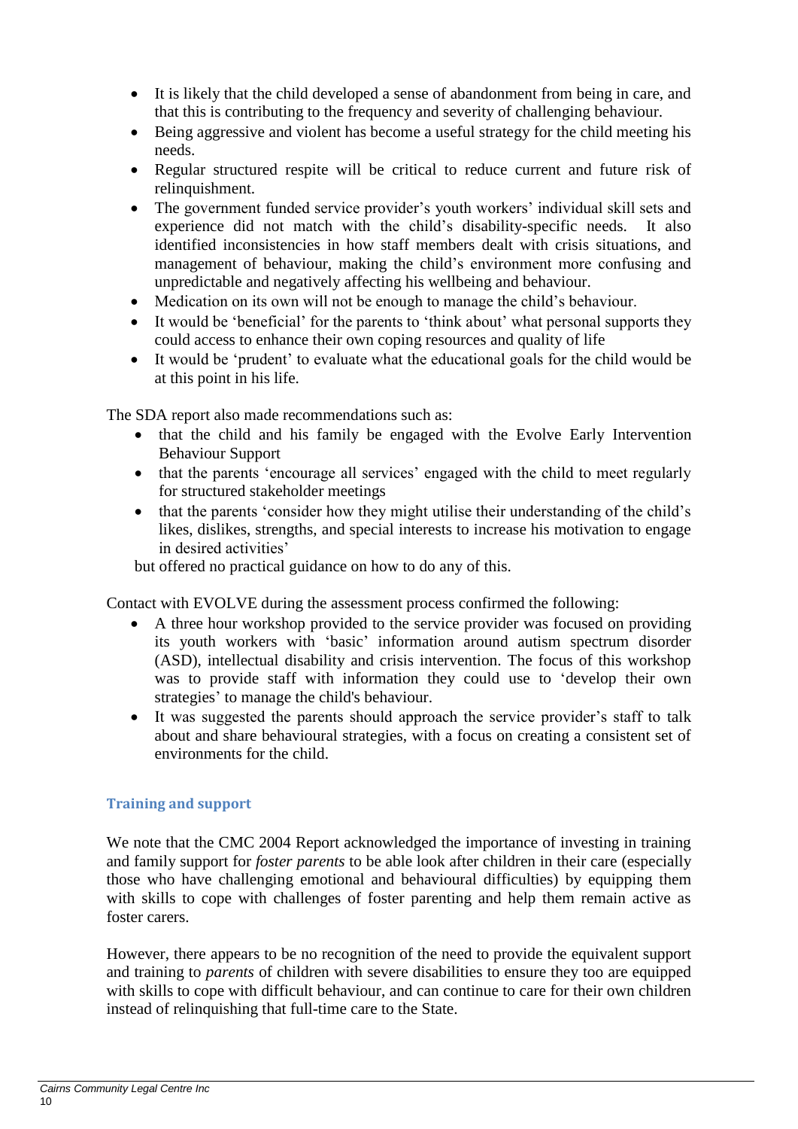- It is likely that the child developed a sense of abandonment from being in care, and that this is contributing to the frequency and severity of challenging behaviour.
- Being aggressive and violent has become a useful strategy for the child meeting his needs.
- Regular structured respite will be critical to reduce current and future risk of relinquishment.
- The government funded service provider's youth workers' individual skill sets and experience did not match with the child's disability-specific needs. It also identified inconsistencies in how staff members dealt with crisis situations, and management of behaviour, making the child's environment more confusing and unpredictable and negatively affecting his wellbeing and behaviour.
- Medication on its own will not be enough to manage the child's behaviour.
- It would be 'beneficial' for the parents to 'think about' what personal supports they could access to enhance their own coping resources and quality of life
- It would be 'prudent' to evaluate what the educational goals for the child would be at this point in his life.

The SDA report also made recommendations such as:

- that the child and his family be engaged with the Evolve Early Intervention Behaviour Support
- that the parents 'encourage all services' engaged with the child to meet regularly for structured stakeholder meetings
- that the parents 'consider how they might utilise their understanding of the child's likes, dislikes, strengths, and special interests to increase his motivation to engage in desired activities'

but offered no practical guidance on how to do any of this.

Contact with EVOLVE during the assessment process confirmed the following:

- A three hour workshop provided to the service provider was focused on providing its youth workers with 'basic' information around autism spectrum disorder (ASD), intellectual disability and crisis intervention. The focus of this workshop was to provide staff with information they could use to 'develop their own strategies' to manage the child's behaviour.
- It was suggested the parents should approach the service provider's staff to talk about and share behavioural strategies, with a focus on creating a consistent set of environments for the child.

### <span id="page-9-0"></span>**Training and support**

We note that the CMC 2004 Report acknowledged the importance of investing in training and family support for *foster parents* to be able look after children in their care (especially those who have challenging emotional and behavioural difficulties) by equipping them with skills to cope with challenges of foster parenting and help them remain active as foster carers.

However, there appears to be no recognition of the need to provide the equivalent support and training to *parents* of children with severe disabilities to ensure they too are equipped with skills to cope with difficult behaviour, and can continue to care for their own children instead of relinquishing that full-time care to the State.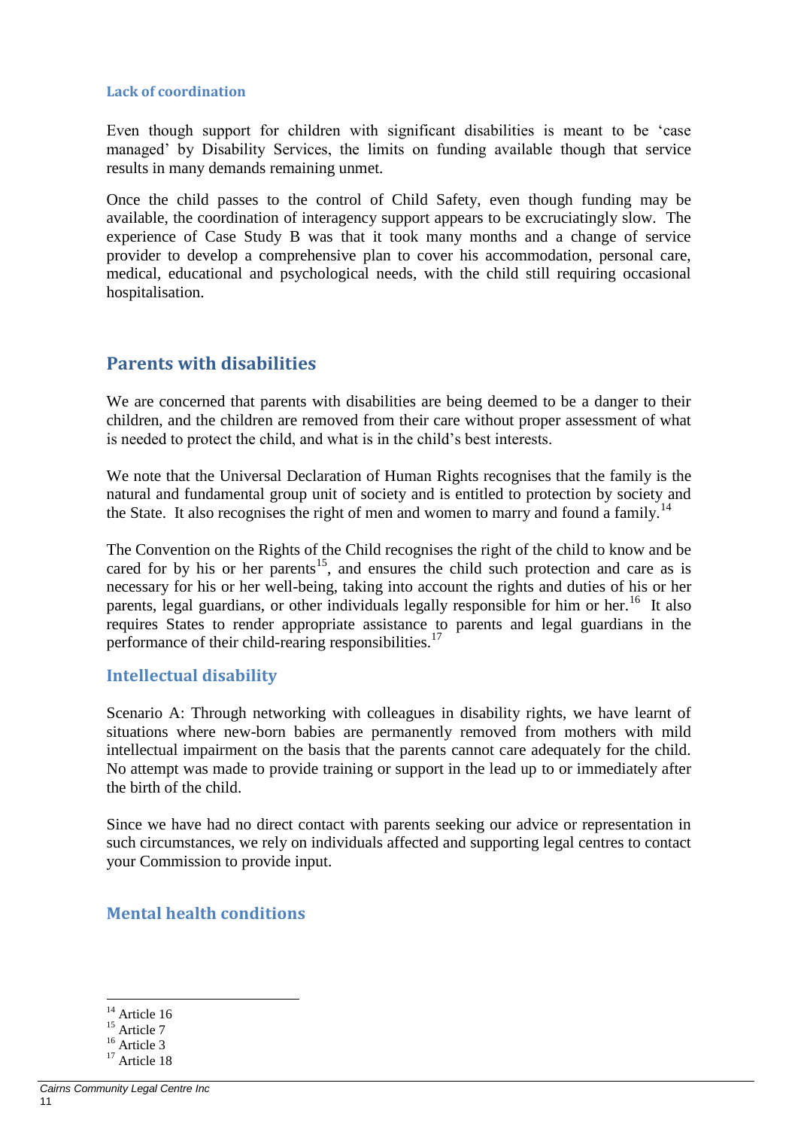#### <span id="page-10-0"></span>**Lack of coordination**

Even though support for children with significant disabilities is meant to be 'case managed' by Disability Services, the limits on funding available though that service results in many demands remaining unmet.

Once the child passes to the control of Child Safety, even though funding may be available, the coordination of interagency support appears to be excruciatingly slow. The experience of Case Study B was that it took many months and a change of service provider to develop a comprehensive plan to cover his accommodation, personal care, medical, educational and psychological needs, with the child still requiring occasional hospitalisation.

# <span id="page-10-1"></span>**Parents with disabilities**

We are concerned that parents with disabilities are being deemed to be a danger to their children, and the children are removed from their care without proper assessment of what is needed to protect the child, and what is in the child's best interests.

We note that the Universal Declaration of Human Rights recognises that the family is the natural and fundamental group unit of society and is entitled to protection by society and the State. It also recognises the right of men and women to marry and found a family.<sup>14</sup>

The Convention on the Rights of the Child recognises the right of the child to know and be cared for by his or her parents<sup>15</sup>, and ensures the child such protection and care as is necessary for his or her well-being, taking into account the rights and duties of his or her parents, legal guardians, or other individuals legally responsible for him or her.<sup>16</sup> It also requires States to render appropriate assistance to parents and legal guardians in the performance of their child-rearing responsibilities.<sup>17</sup>

### <span id="page-10-2"></span>**Intellectual disability**

Scenario A: Through networking with colleagues in disability rights, we have learnt of situations where new-born babies are permanently removed from mothers with mild intellectual impairment on the basis that the parents cannot care adequately for the child. No attempt was made to provide training or support in the lead up to or immediately after the birth of the child.

Since we have had no direct contact with parents seeking our advice or representation in such circumstances, we rely on individuals affected and supporting legal centres to contact your Commission to provide input.

### <span id="page-10-3"></span>**Mental health conditions**

 $14$  Article 16

<sup>&</sup>lt;sup>15</sup> Article 7

<sup>&</sup>lt;sup>16</sup> Article 3

 $17 \text{ Article} 18$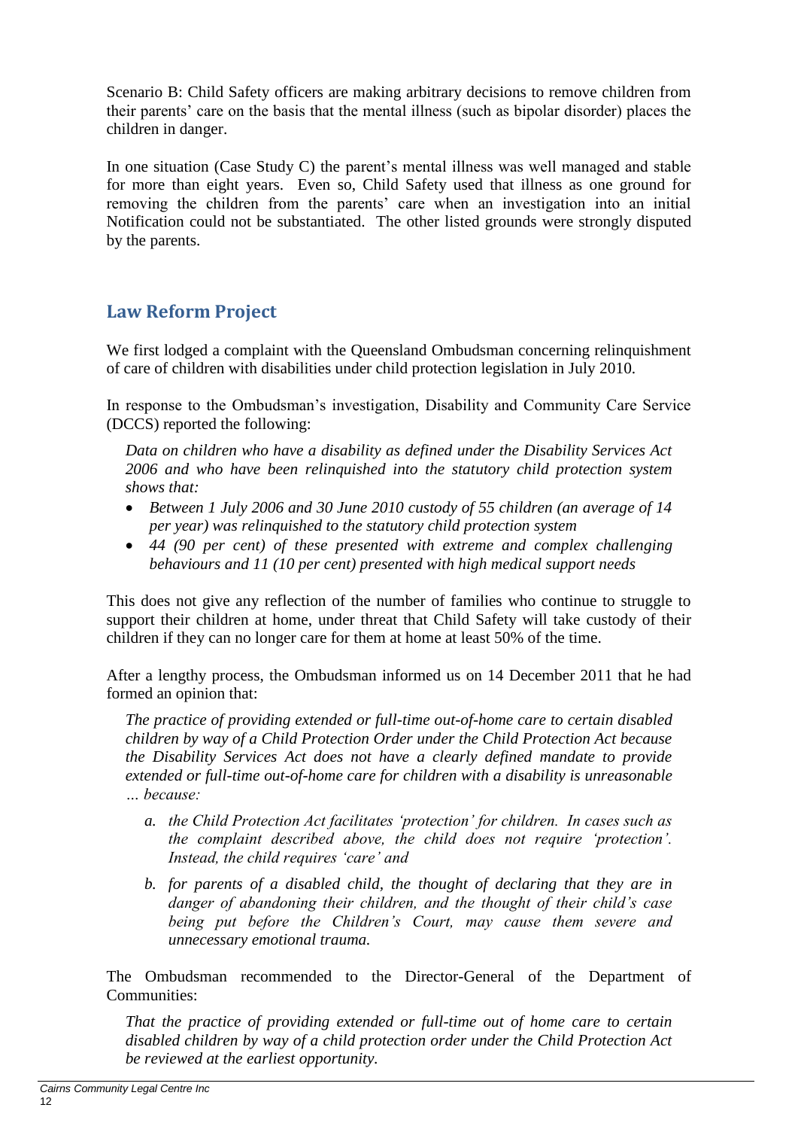Scenario B: Child Safety officers are making arbitrary decisions to remove children from their parents' care on the basis that the mental illness (such as bipolar disorder) places the children in danger.

In one situation (Case Study C) the parent's mental illness was well managed and stable for more than eight years. Even so, Child Safety used that illness as one ground for removing the children from the parents' care when an investigation into an initial Notification could not be substantiated. The other listed grounds were strongly disputed by the parents.

# <span id="page-11-0"></span>**Law Reform Project**

We first lodged a complaint with the Queensland Ombudsman concerning relinquishment of care of children with disabilities under child protection legislation in July 2010.

In response to the Ombudsman's investigation, Disability and Community Care Service (DCCS) reported the following:

*Data on children who have a disability as defined under the Disability Services Act 2006 and who have been relinquished into the statutory child protection system shows that:*

- *Between 1 July 2006 and 30 June 2010 custody of 55 children (an average of 14 per year) was relinquished to the statutory child protection system*
- *44 (90 per cent) of these presented with extreme and complex challenging behaviours and 11 (10 per cent) presented with high medical support needs*

This does not give any reflection of the number of families who continue to struggle to support their children at home, under threat that Child Safety will take custody of their children if they can no longer care for them at home at least 50% of the time.

After a lengthy process, the Ombudsman informed us on 14 December 2011 that he had formed an opinion that:

*The practice of providing extended or full-time out-of-home care to certain disabled children by way of a Child Protection Order under the Child Protection Act because the Disability Services Act does not have a clearly defined mandate to provide extended or full-time out-of-home care for children with a disability is unreasonable … because:*

- *a. the Child Protection Act facilitates 'protection' for children. In cases such as the complaint described above, the child does not require 'protection'. Instead, the child requires 'care' and*
- *b. for parents of a disabled child, the thought of declaring that they are in danger of abandoning their children, and the thought of their child's case being put before the Children's Court, may cause them severe and unnecessary emotional trauma.*

The Ombudsman recommended to the Director-General of the Department of Communities:

*That the practice of providing extended or full-time out of home care to certain disabled children by way of a child protection order under the Child Protection Act be reviewed at the earliest opportunity.*